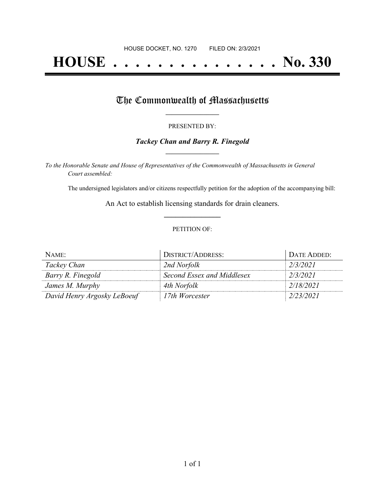# **HOUSE . . . . . . . . . . . . . . . No. 330**

## The Commonwealth of Massachusetts

#### PRESENTED BY:

#### *Tackey Chan and Barry R. Finegold* **\_\_\_\_\_\_\_\_\_\_\_\_\_\_\_\_\_**

*To the Honorable Senate and House of Representatives of the Commonwealth of Massachusetts in General Court assembled:*

The undersigned legislators and/or citizens respectfully petition for the adoption of the accompanying bill:

An Act to establish licensing standards for drain cleaners. **\_\_\_\_\_\_\_\_\_\_\_\_\_\_\_**

#### PETITION OF:

| NAME:                       | DISTRICT/ADDRESS:          | DATE ADDED: |
|-----------------------------|----------------------------|-------------|
| Tackey Chan                 | 2nd Norfolk                | 2/3/2021    |
| Barry R. Finegold           | Second Essex and Middlesex | 2/3/2021    |
| James M. Murphy             | 4th Norfolk                | 2/18/2021   |
| David Henry Argosky LeBoeuf | 17th Worcester             | 2/23/2021   |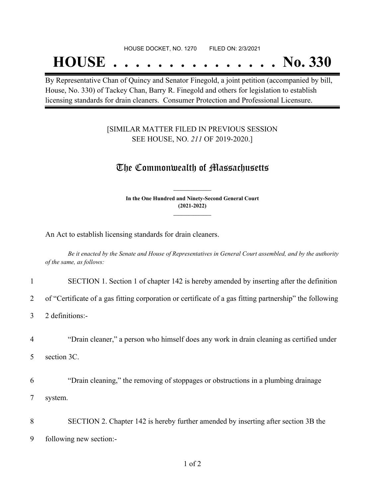#### HOUSE DOCKET, NO. 1270 FILED ON: 2/3/2021

## **HOUSE . . . . . . . . . . . . . . . No. 330**

By Representative Chan of Quincy and Senator Finegold, a joint petition (accompanied by bill, House, No. 330) of Tackey Chan, Barry R. Finegold and others for legislation to establish licensing standards for drain cleaners. Consumer Protection and Professional Licensure.

#### [SIMILAR MATTER FILED IN PREVIOUS SESSION SEE HOUSE, NO. *211* OF 2019-2020.]

### The Commonwealth of Massachusetts

**In the One Hundred and Ninety-Second General Court (2021-2022) \_\_\_\_\_\_\_\_\_\_\_\_\_\_\_**

**\_\_\_\_\_\_\_\_\_\_\_\_\_\_\_**

An Act to establish licensing standards for drain cleaners.

Be it enacted by the Senate and House of Representatives in General Court assembled, and by the authority *of the same, as follows:*

1 SECTION 1. Section 1 of chapter 142 is hereby amended by inserting after the definition

2 of "Certificate of a gas fitting corporation or certificate of a gas fitting partnership" the following

3 2 definitions:-

4 "Drain cleaner," a person who himself does any work in drain cleaning as certified under

5 section 3C.

6 "Drain cleaning," the removing of stoppages or obstructions in a plumbing drainage 7 system.

8 SECTION 2. Chapter 142 is hereby further amended by inserting after section 3B the 9 following new section:-